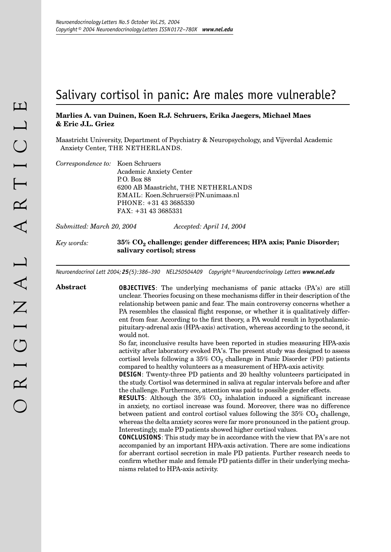# Salivary cortisol in panic: Are males more vulnerable?

## **Marlies A. van Duinen, Koen R.J. Schruers, Erika Jaegers, Michael Maes & Eric J.L. Griez**

Maastricht University, Department of Psychiatry & Neuropsychology, and Vijverdal Academic Anxiety Center, THE NETHERLANDS.

| Correspondence to: Koen Schruers |                                     |
|----------------------------------|-------------------------------------|
|                                  | <b>Academic Anxiety Center</b>      |
|                                  | P. O. Box 88                        |
|                                  | 6200 AB Maastricht, THE NETHERLANDS |
|                                  | EMAIL: Koen.Schruers@PN.unimaas.nl  |
|                                  | PHONE: +31 43 3685330               |
|                                  | $FAX: +31433685331$                 |
|                                  |                                     |

*Submitted: March 20, 2004 Accepted: April 14, 2004*

## *Key words:* **35% CO<sub>2</sub> challenge; gender differences; HPA axis; Panic Disorder; salivary cortisol; stress**

*Neuroendocrinol Lett 2004; 25(5):386–390 NEL250504A09 Copyright © Neuroendocrinology Letters www.nel.edu*

**Abstract OBJECTIVES**: The underlying mechanisms of panic attacks (PA's) are still unclear. Theories focusing on these mechanisms differ in their description of the relationship between panic and fear. The main controversy concerns whether a PA resembles the classical flight response, or whether it is qualitatively different from fear. According to the first theory, a PA would result in hypothalamicpituitary-adrenal axis (HPA-axis) activation, whereas according to the second, it would not.

> So far, inconclusive results have been reported in studies measuring HPA-axis activity after laboratory evoked PA's. The present study was designed to assess cortisol levels following a  $35\%$  CO<sub>2</sub> challenge in Panic Disorder (PD) patients compared to healthy volunteers as a measurement of HPA-axis activity.

> **DESIGN**: Twenty-three PD patients and 20 healthy volunteers participated in the study. Cortisol was determined in saliva at regular intervals before and after the challenge. Furthermore, attention was paid to possible gender effects.

> **RESULTS**: Although the  $35\%$  CO<sub>2</sub> inhalation induced a significant increase in anxiety, no cortisol increase was found. Moreover, there was no difference between patient and control cortisol values following the  $35\%$  CO<sub>2</sub> challenge, whereas the delta anxiety scores were far more pronounced in the patient group. Interestingly, male PD patients showed higher cortisol values.

> **CONCLUSIONS**: This study may be in accordance with the view that PA's are not accompanied by an important HPA-axis activation. There are some indications for aberrant cortisol secretion in male PD patients. Further research needs to confirm whether male and female PD patients differ in their underlying mechanisms related to HPA-axis activity.

386 *Neuroendocrinology Letters No.5 October Vol.25, 2004 Copyright © Neuroendocrinology Letters ISSN 0172–780X www.nel.edu* 387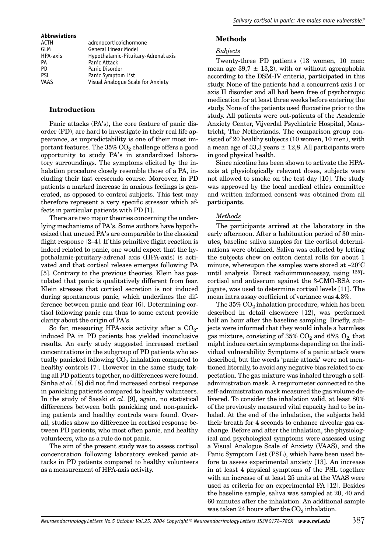| <b>Abbreviations</b> |                                     |
|----------------------|-------------------------------------|
| ACTH                 | adrenocorticoidhormone              |
| GI M                 | <b>General Linear Model</b>         |
| HPA-axis             | Hypothalamic-Pituitary-Adrenal axis |
| PA                   | Panic Attack                        |
| PD.                  | Panic Disorder                      |
| <b>PSL</b>           | Panic Symptom List                  |
| VAAS                 | Visual Analogue Scale for Anxiety   |
|                      |                                     |

### **Introduction**

Panic attacks (PA's), the core feature of panic disorder (PD), are hard to investigate in their real life appearance, as unpredictability is one of their most important features. The  $35\%$  CO<sub>2</sub> challenge offers a good opportunity to study PA's in standardized laboratory surroundings. The symptoms elicited by the inhalation procedure closely resemble those of a PA, including their fast crescendo course. Moreover, in PD patients a marked increase in anxious feelings is generated, as opposed to control subjects. This test may therefore represent a very specific stressor which affects in particular patients with PD [1].

There are two major theories concerning the underlying mechanisms of PA's. Some authors have hypothesized that uncued PA's are comparable to the classical flight response [2–4]. If this primitive flight reaction is indeed related to panic, one would expect that the hypothalamic-pituitary-adrenal axis (HPA-axis) is activated and that cortisol release emerges following PA [5]. Contrary to the previous theories, Klein has postulated that panic is qualitatively different from fear. Klein stresses that cortisol secretion is not induced during spontaneous panic, which underlines the difference between panic and fear [6]. Determining cortisol following panic can thus to some extent provide clarity about the origin of PA's.

So far, measuring HPA-axis activity after a  $CO<sub>2</sub>$ induced PA in PD patients has yielded inconclusive results. An early study suggested increased cortisol concentrations in the subgroup of PD patients who actually panicked following  $CO<sub>2</sub>$  inhalation compared to healthy controls [7]. However in the same study, taking all PD patients together, no differences were found. Sinha *et al*. [8] did not find increased cortisol response in panicking patients compared to healthy volunteers. In the study of Sasaki *et al*. [9], again, no statistical differences between both panicking and non-panicking patients and healthy controls were found. Overall, studies show no difference in cortisol response between PD patients, who most often panic, and healthy volunteers, who as a rule do not panic.

The aim of the present study was to assess cortisol concentration following laboratory evoked panic attacks in PD patients compared to healthy volunteers as a measurement of HPA-axis activity.

## **Methods**

#### *Subjects*

Twenty-three PD patients (13 women, 10 men; mean age  $39.7 \pm 13.2$ , with or without agoraphobia according to the DSM-IV criteria, participated in this study. None of the patients had a concurrent axis I or axis II disorder and all had been free of psychotropic medication for at least three weeks before entering the study. None of the patients used fluoxetine prior to the study. All patients were out-patients of the Academic Anxiety Center, Vijverdal Psychiatric Hospital, Maastricht, The Netherlands. The comparison group consisted of 20 healthy subjects (10 women, 10 men), with a mean age of 33,3 years  $\pm$  12,8. All participants were in good physical health.

Since nicotine has been shown to activate the HPAaxis at physiologically relevant doses, subjects were not allowed to smoke on the test day [10]. The study was approved by the local medical ethics committee and written informed consent was obtained from all participants.

#### *Methods*

The participants arrived at the laboratory in the early afternoon. After a habituation period of 30 minutes, baseline saliva samples for the cortisol determinations were obtained. Saliva was collected by letting the subjects chew on cotton dental rolls for about 1 minute, whereupon the samples were stored at –20°C until analysis. Direct radioimmunoassay, using 125Icortisol and antiserum against the 3-CMO-BSA conjugate, was used to determine cortisol levels [11]. The mean intra assay coefficient of variance was 4.3%.

The  $35\%$  CO<sub>2</sub> inhalation procedure, which has been described in detail elsewhere [12], was performed half an hour after the baseline sampling. Briefly, subjects were informed that they would inhale a harmless gas mixture, consisting of  $35\%$  CO<sub>2</sub> and  $65\%$  O<sub>2</sub> that might induce certain symptoms depending on the individual vulnerability. Symptoms of a panic attack were described, but the words 'panic attack' were not mentioned literally, to avoid any negative bias related to expectation. The gas mixture was inhaled through a selfadministration mask. A respirometer connected to the self-administration mask measured the gas volume delivered. To consider the inhalation valid, at least 80% of the previously measured vital capacity had to be inhaled. At the end of the inhalation, the subjects held their breath for 4 seconds to enhance alveolar gas exchange. Before and after the inhalation, the physiological and psychological symptoms were assessed using a Visual Analogue Scale of Anxiety (VAAS), and the Panic Symptom List (PSL), which have been used before to assess experimental anxiety [13]. An increase in at least 4 physical symptoms of the PSL together with an increase of at least 25 units at the VAAS were used as criteria for an experimental PA [12]. Besides the baseline sample, saliva was sampled at 20, 40 and 60 minutes after the inhalation. An additional sample was taken 24 hours after the  $CO<sub>2</sub>$  inhalation.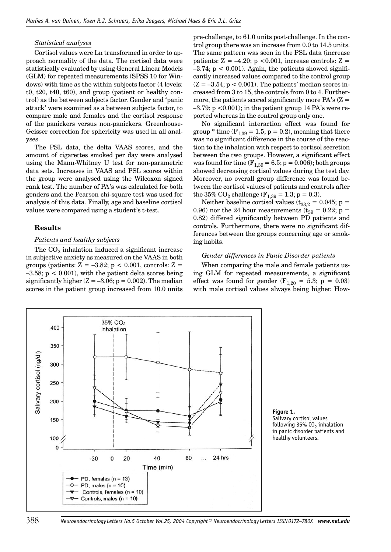#### *Statistical analyses*

Cortisol values were Ln transformed in order to approach normality of the data. The cortisol data were statistically evaluated by using General Linear Models (GLM) for repeated measurements (SPSS 10 for Windows) with time as the within subjects factor (4 levels: t0, t20, t40, t60), and group (patient or healthy control) as the between subjects factor. Gender and 'panic attack' were examined as a between subjects factor, to compare male and females and the cortisol response of the panickers versus non-panickers. Greenhouse-Geisser correction for sphericity was used in all analyses.

The PSL data, the delta VAAS scores, and the amount of cigarettes smoked per day were analysed using the Mann-Whitney U test for non-parametric data sets. Increases in VAAS and PSL scores within the group were analysed using the Wilcoxon signed rank test. The number of PA's was calculated for both genders and the Pearson chi-square test was used for analysis of this data. Finally, age and baseline cortisol values were compared using a student's t-test.

### **Results**

#### *Patients and healthy subjects*

The  $CO<sub>2</sub>$  inhalation induced a significant increase in subjective anxiety as measured on the VAAS in both groups (patients:  $Z = -3.82$ ;  $p < 0.001$ , controls:  $Z =$  $-3.58$ ;  $p < 0.001$ ), with the patient delta scores being significantly higher  $(Z = -3.06; p = 0.002)$ . The median scores in the patient group increased from 10.0 units

pre-challenge, to 61.0 units post-challenge. In the control group there was an increase from 0.0 to 14.5 units. The same pattern was seen in the PSL data (increase patients:  $Z = -4.20$ ; p <0.001, increase controls:  $Z =$  $-3.74$ ;  $p < 0.001$ ). Again, the patients showed significantly increased values compared to the control group  $(Z = -3.54; p < 0.001)$ . The patients' median scores increased from 3 to 15, the controls from 0 to 4. Furthermore, the patients scored significantly more  $PA's (Z =$  $-3.79$ ; p  $\leq 0.001$ ); in the patient group 14 PA's were reported whereas in the control group only one.

No significant interaction effect was found for group  $*$  time  $(F<sub>1,39</sub> = 1.5; p = 0.2)$ , meaning that there was no significant difference in the course of the reaction to the inhalation with respect to cortisol secretion between the two groups. However, a significant effect was found for time  $(F<sub>1,39</sub> = 6.5; p = 0.006)$ ; both groups showed decreasing cortisol values during the test day. Moreover, no overall group difference was found between the cortisol values of patients and controls after the 35%  $CO_2$  challenge ( $F_{1,39} = 1.3$ ; p = 0.3).

Neither baseline cortisol values ( $t_{33,2} = 0.045$ ; p = 0.96) nor the 24 hour measurements ( $t_{39} = 0.22$ ; p = 0.82) differed significantly between PD patients and controls. Furthermore, there were no significant differences between the groups concerning age or smoking habits.

#### *Gender differences in Panic Disorder patients*

When comparing the male and female patients using GLM for repeated measurements, a significant effect was found for gender  $(F_{1,20} = 5.3; p = 0.03)$ with male cortisol values always being higher. How-



**Figure 1.** Salivary cortisol values following 35%  $CO<sub>2</sub>$  inhalation in panic disorder patients and healthy volunteers.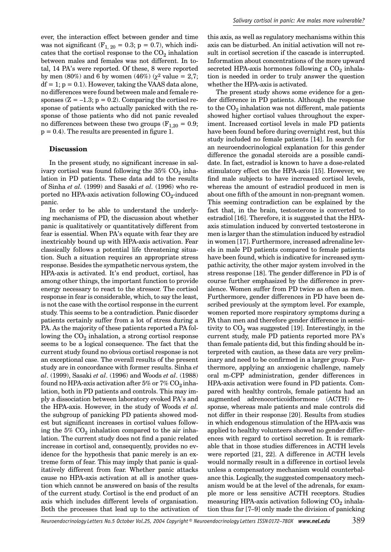ever, the interaction effect between gender and time was not significant  $(F_{1, 20} = 0.3; p = 0.7)$ , which indicates that the cortisol response to the  $CO<sub>2</sub>$  inhalation between males and females was not different. In total, 14 PA's were reported. Of these, 8 were reported by men (80%) and 6 by women (46%) ( $\chi^2$  value = 2,7;  $df = 1$ ;  $p = 0.1$ ). However, taking the VAAS data alone, no differences were found between male and female responses  $(Z = -1.3; p = 0.2)$ . Comparing the cortisol response of patients who actually panicked with the response of those patients who did not panic revealed no differences between these two groups  $(F_{1,20} = 0.9;$  $p = 0.4$ ). The results are presented in figure 1.

#### **Discussion**

In the present study, no significant increase in salivary cortisol was found following the  $35\%$  CO<sub>2</sub> inhalation in PD patients. These data add to the results of Sinha *et al.* (1999) and Sasaki *et al.* (1996) who reported no HPA-axis activation following  $CO<sub>2</sub>$ -induced panic.

In order to be able to understand the underlying mechanisms of PD, the discussion about whether panic is qualitatively or quantitatively different from fear is essential. When PA's equate with fear they are inextricably bound up with HPA-axis activation. Fear classically follows a potential life threatening situation. Such a situation requires an appropriate stress response. Besides the sympathetic nervous system, the HPA-axis is activated. It's end product, cortisol, has among other things, the important function to provide energy necessary to react to the stressor. The cortisol response in fear is considerable, which, to say the least, is not the case with the cortisol response in the current study. This seems to be a contradiction. Panic disorder patients certainly suffer from a lot of stress during a PA. As the majority of these patients reported a PA following the  $CO<sub>2</sub>$  inhalation, a strong cortisol response seems to be a logical consequence. The fact that the current study found no obvious cortisol response is not an exceptional case. The overall results of the present study are in concordance with former results. Sinha *et al*. (1999), Sasaki *et al*. (1996) and Woods *et al*. (1988) found no HPA-axis activation after 5% or 7%  $CO<sub>2</sub>$  inhalation, both in PD patients and controls. This may imply a dissociation between laboratory evoked PA's and the HPA-axis. However, in the study of Woods *et al.* the subgroup of panicking PD patients showed modest but significant increases in cortisol values following the  $5\%$  CO<sub>2</sub> inhalation compared to the air inhalation. The current study does not find a panic related increase in cortisol and, consequently, provides no evidence for the hypothesis that panic merely is an extreme form of fear. This may imply that panic is qualitatively different from fear. Whether panic attacks cause no HPA-axis activation at all is another question which cannot be answered on basis of the results of the current study. Cortisol is the end product of an axis which includes different levels of organisation. Both the processes that lead up to the activation of this axis, as well as regulatory mechanisms within this axis can be disturbed. An initial activation will not result in cortisol secretion if the cascade is interrupted. Information about concentrations of the more upward secreted HPA-axis hormones following a  $CO<sub>2</sub>$  inhalation is needed in order to truly answer the question whether the HPA-axis is activated.

The present study shows some evidence for a gender difference in PD patients. Although the response to the  $CO<sub>2</sub>$  inhalation was not different, male patients showed higher cortisol values throughout the experiment. Increased cortisol levels in male PD patients have been found before during overnight rest, but this study included no female patients [14]. In search for an neuroendocrinological explanation for this gender difference the gonadal steroids are a possible candidate. In fact, estradiol is known to have a dose-related stimulatory effect on the HPA-axis [15]. However, we find male subjects to have increased cortisol levels, whereas the amount of estradiol produced in men is about one fifth of the amount in non-pregnant women. This seeming contradiction can be explained by the fact that, in the brain, testosterone is converted to estradiol [16]. Therefore, it is suggested that the HPAaxis stimulation induced by converted testosterone in men is larger than the stimulation induced by estradiol in women [17]. Furthermore, increased adrenaline levels in male PD patients compared to female patients have been found, which is indicative for increased sympathic activity, the other major system involved in the stress response [18]. The gender difference in PD is of course further emphasized by the difference in prevalence. Women suffer from PD twice as often as men. Furthermore, gender differences in PD have been described previously at the symptom level. For example, women reported more respiratory symptoms during a PA than men and therefore gender difference in sensitivity to  $CO<sub>2</sub>$  was suggested [19]. Interestingly, in the current study, male PD patients reported more PA's than female patients did, but this finding should be interpreted with caution, as these data are very preliminary and need to be confirmed in a larger group. Furthermore, applying an anxiogenic challenge, namely oral m-CPP administration, gender differences in HPA-axis activation were found in PD patients. Compared with healthy controls, female patients had an augmented adrenocorticoidhormone (ACTH) response, whereas male patients and male controls did not differ in their response [20]. Results from studies in which endogenous stimulation of the HPA-axis was applied to healthy volunteers showed no gender differences with regard to cortisol secretion. It is remarkable that in those studies differences in ACTH levels were reported [21, 22]. A difference in ACTH levels would normally result in a difference in cortisol levels unless a compensatory mechanism would counterbalance this. Logically, the suggested compensatory mechanism would be at the level of the adrenals, for example more or less sensitive ACTH receptors. Studies measuring HPA-axis activation following  $CO<sub>2</sub>$  inhalation thus far [7–9] only made the division of panicking